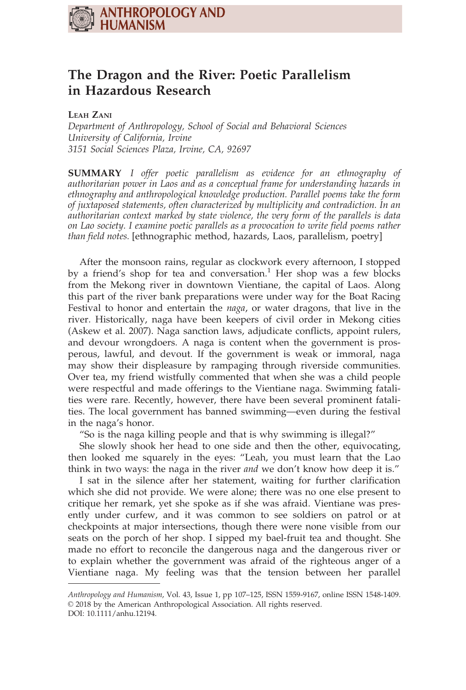

# The Dragon and the River: Poetic Parallelism in Hazardous Research

LEAH ZANI

Department of Anthropology, School of Social and Behavioral Sciences University of California, Irvine 3151 Social Sciences Plaza, Irvine, CA, 92697

SUMMARY I offer poetic parallelism as evidence for an ethnography of authoritarian power in Laos and as a conceptual frame for understanding hazards in ethnography and anthropological knowledge production. Parallel poems take the form of juxtaposed statements, often characterized by multiplicity and contradiction. In an authoritarian context marked by state violence, the very form of the parallels is data on Lao society. I examine poetic parallels as a provocation to write field poems rather than field notes. [ethnographic method, hazards, Laos, parallelism, poetry]

After the monsoon rains, regular as clockwork every afternoon, I stopped by a friend's shop for tea and conversation.<sup>1</sup> Her shop was a few blocks from the Mekong river in downtown Vientiane, the capital of Laos. Along this part of the river bank preparations were under way for the Boat Racing Festival to honor and entertain the naga, or water dragons, that live in the river. Historically, naga have been keepers of civil order in Mekong cities (Askew et al. 2007). Naga sanction laws, adjudicate conflicts, appoint rulers, and devour wrongdoers. A naga is content when the government is prosperous, lawful, and devout. If the government is weak or immoral, naga may show their displeasure by rampaging through riverside communities. Over tea, my friend wistfully commented that when she was a child people were respectful and made offerings to the Vientiane naga. Swimming fatalities were rare. Recently, however, there have been several prominent fatalities. The local government has banned swimming—even during the festival in the naga's honor.

"So is the naga killing people and that is why swimming is illegal?"

She slowly shook her head to one side and then the other, equivocating, then looked me squarely in the eyes: "Leah, you must learn that the Lao think in two ways: the naga in the river and we don't know how deep it is."

I sat in the silence after her statement, waiting for further clarification which she did not provide. We were alone; there was no one else present to critique her remark, yet she spoke as if she was afraid. Vientiane was presently under curfew, and it was common to see soldiers on patrol or at checkpoints at major intersections, though there were none visible from our seats on the porch of her shop. I sipped my bael-fruit tea and thought. She made no effort to reconcile the dangerous naga and the dangerous river or to explain whether the government was afraid of the righteous anger of a Vientiane naga. My feeling was that the tension between her parallel

Anthropology and Humanism, Vol. 43, Issue 1, pp 107–125, ISSN 1559-9167, online ISSN 1548-1409.  $©$  2018 by the American Anthropological Association. All rights reserved. DOI: 10.1111/anhu.12194.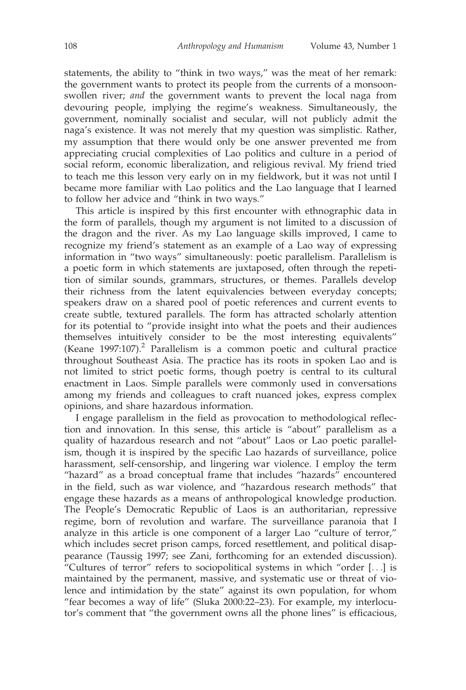statements, the ability to "think in two ways," was the meat of her remark: the government wants to protect its people from the currents of a monsoonswollen river; and the government wants to prevent the local naga from devouring people, implying the regime's weakness. Simultaneously, the government, nominally socialist and secular, will not publicly admit the naga's existence. It was not merely that my question was simplistic. Rather, my assumption that there would only be one answer prevented me from appreciating crucial complexities of Lao politics and culture in a period of social reform, economic liberalization, and religious revival. My friend tried to teach me this lesson very early on in my fieldwork, but it was not until I became more familiar with Lao politics and the Lao language that I learned to follow her advice and "think in two ways."

This article is inspired by this first encounter with ethnographic data in the form of parallels, though my argument is not limited to a discussion of the dragon and the river. As my Lao language skills improved, I came to recognize my friend's statement as an example of a Lao way of expressing information in "two ways" simultaneously: poetic parallelism. Parallelism is a poetic form in which statements are juxtaposed, often through the repetition of similar sounds, grammars, structures, or themes. Parallels develop their richness from the latent equivalencies between everyday concepts; speakers draw on a shared pool of poetic references and current events to create subtle, textured parallels. The form has attracted scholarly attention for its potential to "provide insight into what the poets and their audiences themselves intuitively consider to be the most interesting equivalents" (Keane 1997:107).<sup>2</sup> Parallelism is a common poetic and cultural practice throughout Southeast Asia. The practice has its roots in spoken Lao and is not limited to strict poetic forms, though poetry is central to its cultural enactment in Laos. Simple parallels were commonly used in conversations among my friends and colleagues to craft nuanced jokes, express complex opinions, and share hazardous information.

I engage parallelism in the field as provocation to methodological reflection and innovation. In this sense, this article is "about" parallelism as a quality of hazardous research and not "about" Laos or Lao poetic parallelism, though it is inspired by the specific Lao hazards of surveillance, police harassment, self-censorship, and lingering war violence. I employ the term "hazard" as a broad conceptual frame that includes "hazards" encountered in the field, such as war violence, and "hazardous research methods" that engage these hazards as a means of anthropological knowledge production. The People's Democratic Republic of Laos is an authoritarian, repressive regime, born of revolution and warfare. The surveillance paranoia that I analyze in this article is one component of a larger Lao "culture of terror," which includes secret prison camps, forced resettlement, and political disappearance (Taussig 1997; see Zani, forthcoming for an extended discussion). "Cultures of terror" refers to sociopolitical systems in which "order [...] is maintained by the permanent, massive, and systematic use or threat of violence and intimidation by the state" against its own population, for whom "fear becomes a way of life" (Sluka 2000:22–23). For example, my interlocutor's comment that "the government owns all the phone lines" is efficacious,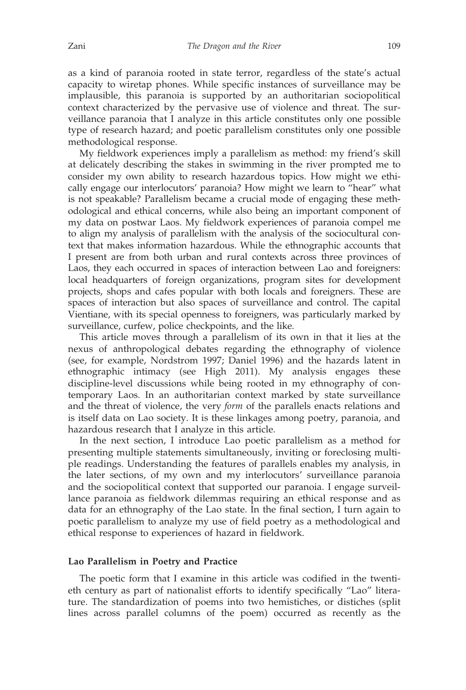as a kind of paranoia rooted in state terror, regardless of the state's actual capacity to wiretap phones. While specific instances of surveillance may be implausible, this paranoia is supported by an authoritarian sociopolitical context characterized by the pervasive use of violence and threat. The surveillance paranoia that I analyze in this article constitutes only one possible type of research hazard; and poetic parallelism constitutes only one possible methodological response.

My fieldwork experiences imply a parallelism as method: my friend's skill at delicately describing the stakes in swimming in the river prompted me to consider my own ability to research hazardous topics. How might we ethically engage our interlocutors' paranoia? How might we learn to "hear" what is not speakable? Parallelism became a crucial mode of engaging these methodological and ethical concerns, while also being an important component of my data on postwar Laos. My fieldwork experiences of paranoia compel me to align my analysis of parallelism with the analysis of the sociocultural context that makes information hazardous. While the ethnographic accounts that I present are from both urban and rural contexts across three provinces of Laos, they each occurred in spaces of interaction between Lao and foreigners: local headquarters of foreign organizations, program sites for development projects, shops and cafes popular with both locals and foreigners. These are spaces of interaction but also spaces of surveillance and control. The capital Vientiane, with its special openness to foreigners, was particularly marked by surveillance, curfew, police checkpoints, and the like.

This article moves through a parallelism of its own in that it lies at the nexus of anthropological debates regarding the ethnography of violence (see, for example, Nordstrom 1997; Daniel 1996) and the hazards latent in ethnographic intimacy (see High 2011). My analysis engages these discipline-level discussions while being rooted in my ethnography of contemporary Laos. In an authoritarian context marked by state surveillance and the threat of violence, the very form of the parallels enacts relations and is itself data on Lao society. It is these linkages among poetry, paranoia, and hazardous research that I analyze in this article.

In the next section, I introduce Lao poetic parallelism as a method for presenting multiple statements simultaneously, inviting or foreclosing multiple readings. Understanding the features of parallels enables my analysis, in the later sections, of my own and my interlocutors' surveillance paranoia and the sociopolitical context that supported our paranoia. I engage surveillance paranoia as fieldwork dilemmas requiring an ethical response and as data for an ethnography of the Lao state. In the final section, I turn again to poetic parallelism to analyze my use of field poetry as a methodological and ethical response to experiences of hazard in fieldwork.

# Lao Parallelism in Poetry and Practice

The poetic form that I examine in this article was codified in the twentieth century as part of nationalist efforts to identify specifically "Lao" literature. The standardization of poems into two hemistiches, or distiches (split lines across parallel columns of the poem) occurred as recently as the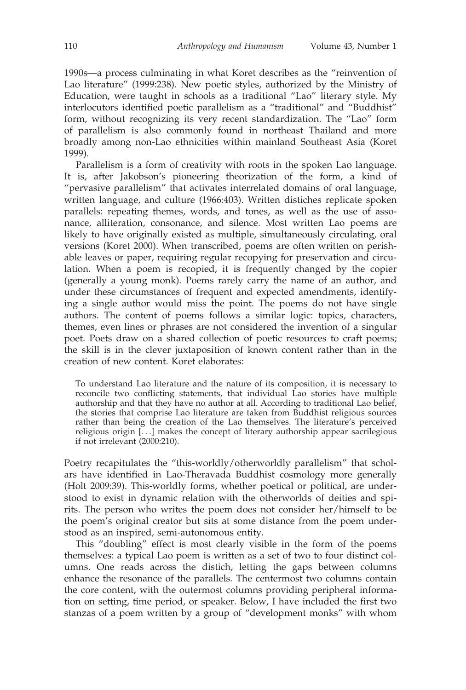1990s—a process culminating in what Koret describes as the "reinvention of Lao literature" (1999:238). New poetic styles, authorized by the Ministry of Education, were taught in schools as a traditional "Lao" literary style. My interlocutors identified poetic parallelism as a "traditional" and "Buddhist" form, without recognizing its very recent standardization. The "Lao" form of parallelism is also commonly found in northeast Thailand and more broadly among non-Lao ethnicities within mainland Southeast Asia (Koret 1999).

Parallelism is a form of creativity with roots in the spoken Lao language. It is, after Jakobson's pioneering theorization of the form, a kind of "pervasive parallelism" that activates interrelated domains of oral language, written language, and culture (1966:403). Written distiches replicate spoken parallels: repeating themes, words, and tones, as well as the use of assonance, alliteration, consonance, and silence. Most written Lao poems are likely to have originally existed as multiple, simultaneously circulating, oral versions (Koret 2000). When transcribed, poems are often written on perishable leaves or paper, requiring regular recopying for preservation and circulation. When a poem is recopied, it is frequently changed by the copier (generally a young monk). Poems rarely carry the name of an author, and under these circumstances of frequent and expected amendments, identifying a single author would miss the point. The poems do not have single authors. The content of poems follows a similar logic: topics, characters, themes, even lines or phrases are not considered the invention of a singular poet. Poets draw on a shared collection of poetic resources to craft poems; the skill is in the clever juxtaposition of known content rather than in the creation of new content. Koret elaborates:

To understand Lao literature and the nature of its composition, it is necessary to reconcile two conflicting statements, that individual Lao stories have multiple authorship and that they have no author at all. According to traditional Lao belief, the stories that comprise Lao literature are taken from Buddhist religious sources rather than being the creation of the Lao themselves. The literature's perceived religious origin [...] makes the concept of literary authorship appear sacrilegious if not irrelevant (2000:210).

Poetry recapitulates the "this-worldly/otherworldly parallelism" that scholars have identified in Lao-Theravada Buddhist cosmology more generally (Holt 2009:39). This-worldly forms, whether poetical or political, are understood to exist in dynamic relation with the otherworlds of deities and spirits. The person who writes the poem does not consider her/himself to be the poem's original creator but sits at some distance from the poem understood as an inspired, semi-autonomous entity.

This "doubling" effect is most clearly visible in the form of the poems themselves: a typical Lao poem is written as a set of two to four distinct columns. One reads across the distich, letting the gaps between columns enhance the resonance of the parallels. The centermost two columns contain the core content, with the outermost columns providing peripheral information on setting, time period, or speaker. Below, I have included the first two stanzas of a poem written by a group of "development monks" with whom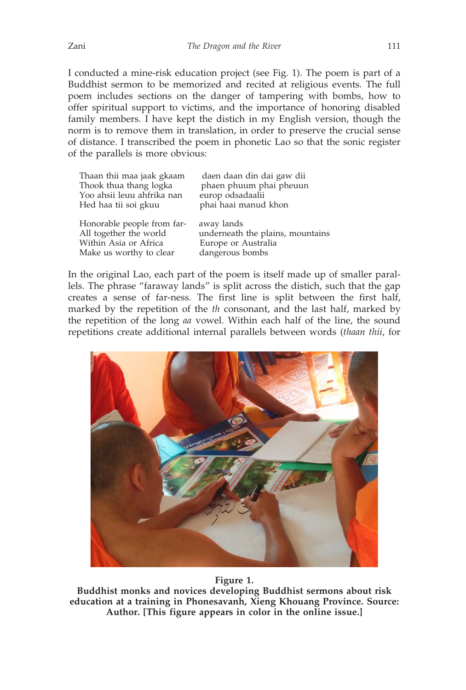I conducted a mine-risk education project (see Fig. 1). The poem is part of a Buddhist sermon to be memorized and recited at religious events. The full poem includes sections on the danger of tampering with bombs, how to offer spiritual support to victims, and the importance of honoring disabled family members. I have kept the distich in my English version, though the norm is to remove them in translation, in order to preserve the crucial sense of distance. I transcribed the poem in phonetic Lao so that the sonic register of the parallels is more obvious:

| Thaan thii maa jaak gkaam  | daen daan din dai gaw dii        |
|----------------------------|----------------------------------|
| Thook thua thang logka     | phaen phuum phai pheuun          |
| Yoo ahsii leuu ahfrika nan | europ odsadaalii                 |
| Hed haa tii soi gkuu       | phai haai manud khon             |
| Honorable people from far- | away lands                       |
| All together the world     | underneath the plains, mountains |
| Within Asia or Africa      | Europe or Australia              |
| Make us worthy to clear    | dangerous bombs                  |

In the original Lao, each part of the poem is itself made up of smaller parallels. The phrase "faraway lands" is split across the distich, such that the gap creates a sense of far-ness. The first line is split between the first half, marked by the repetition of the th consonant, and the last half, marked by the repetition of the long aa vowel. Within each half of the line, the sound repetitions create additional internal parallels between words (thaan thii, for



## Figure 1.

Buddhist monks and novices developing Buddhist sermons about risk education at a training in Phonesavanh, Xieng Khouang Province. Source: Author. [This figure appears in color in the online issue.]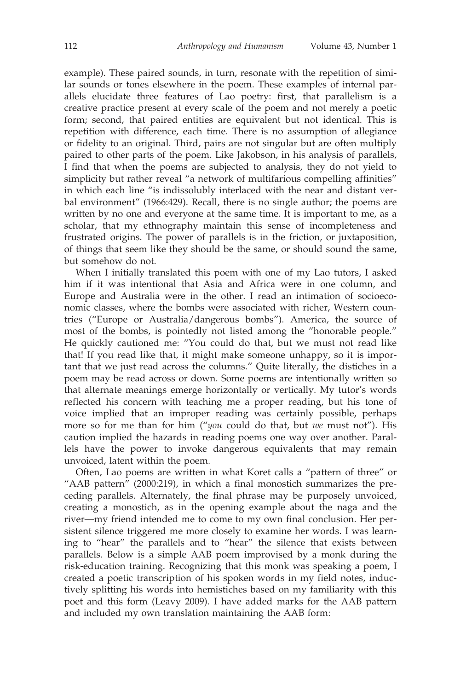example). These paired sounds, in turn, resonate with the repetition of similar sounds or tones elsewhere in the poem. These examples of internal parallels elucidate three features of Lao poetry: first, that parallelism is a creative practice present at every scale of the poem and not merely a poetic form; second, that paired entities are equivalent but not identical. This is repetition with difference, each time. There is no assumption of allegiance or fidelity to an original. Third, pairs are not singular but are often multiply paired to other parts of the poem. Like Jakobson, in his analysis of parallels, I find that when the poems are subjected to analysis, they do not yield to simplicity but rather reveal "a network of multifarious compelling affinities" in which each line "is indissolubly interlaced with the near and distant verbal environment" (1966:429). Recall, there is no single author; the poems are written by no one and everyone at the same time. It is important to me, as a scholar, that my ethnography maintain this sense of incompleteness and frustrated origins. The power of parallels is in the friction, or juxtaposition, of things that seem like they should be the same, or should sound the same, but somehow do not.

When I initially translated this poem with one of my Lao tutors, I asked him if it was intentional that Asia and Africa were in one column, and Europe and Australia were in the other. I read an intimation of socioeconomic classes, where the bombs were associated with richer, Western countries ("Europe or Australia/dangerous bombs"). America, the source of most of the bombs, is pointedly not listed among the "honorable people." He quickly cautioned me: "You could do that, but we must not read like that! If you read like that, it might make someone unhappy, so it is important that we just read across the columns." Quite literally, the distiches in a poem may be read across or down. Some poems are intentionally written so that alternate meanings emerge horizontally or vertically. My tutor's words reflected his concern with teaching me a proper reading, but his tone of voice implied that an improper reading was certainly possible, perhaps more so for me than for him ("you could do that, but we must not"). His caution implied the hazards in reading poems one way over another. Parallels have the power to invoke dangerous equivalents that may remain unvoiced, latent within the poem.

Often, Lao poems are written in what Koret calls a "pattern of three" or "AAB pattern" (2000:219), in which a final monostich summarizes the preceding parallels. Alternately, the final phrase may be purposely unvoiced, creating a monostich, as in the opening example about the naga and the river—my friend intended me to come to my own final conclusion. Her persistent silence triggered me more closely to examine her words. I was learning to "hear" the parallels and to "hear" the silence that exists between parallels. Below is a simple AAB poem improvised by a monk during the risk-education training. Recognizing that this monk was speaking a poem, I created a poetic transcription of his spoken words in my field notes, inductively splitting his words into hemistiches based on my familiarity with this poet and this form (Leavy 2009). I have added marks for the AAB pattern and included my own translation maintaining the AAB form: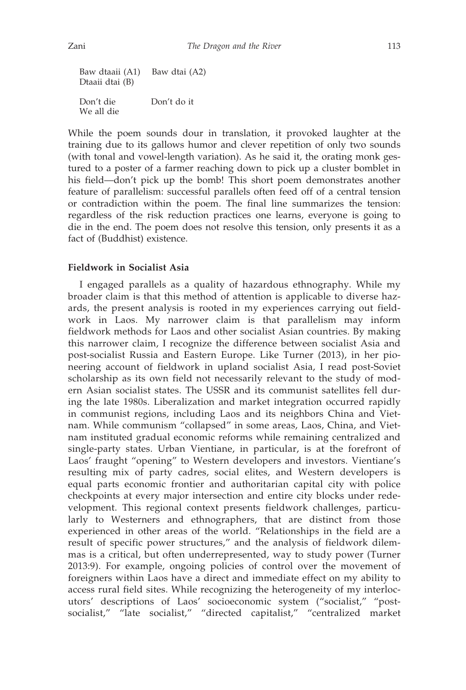Baw dtaaii (A1) Baw dtai (A2) Dtaaii dtai (B) Don't die Don't do it We all die

While the poem sounds dour in translation, it provoked laughter at the training due to its gallows humor and clever repetition of only two sounds (with tonal and vowel-length variation). As he said it, the orating monk gestured to a poster of a farmer reaching down to pick up a cluster bomblet in his field—don't pick up the bomb! This short poem demonstrates another feature of parallelism: successful parallels often feed off of a central tension or contradiction within the poem. The final line summarizes the tension: regardless of the risk reduction practices one learns, everyone is going to die in the end. The poem does not resolve this tension, only presents it as a fact of (Buddhist) existence.

## Fieldwork in Socialist Asia

I engaged parallels as a quality of hazardous ethnography. While my broader claim is that this method of attention is applicable to diverse hazards, the present analysis is rooted in my experiences carrying out fieldwork in Laos. My narrower claim is that parallelism may inform fieldwork methods for Laos and other socialist Asian countries. By making this narrower claim, I recognize the difference between socialist Asia and post-socialist Russia and Eastern Europe. Like Turner (2013), in her pioneering account of fieldwork in upland socialist Asia, I read post-Soviet scholarship as its own field not necessarily relevant to the study of modern Asian socialist states. The USSR and its communist satellites fell during the late 1980s. Liberalization and market integration occurred rapidly in communist regions, including Laos and its neighbors China and Vietnam. While communism "collapsed" in some areas, Laos, China, and Vietnam instituted gradual economic reforms while remaining centralized and single-party states. Urban Vientiane, in particular, is at the forefront of Laos' fraught "opening" to Western developers and investors. Vientiane's resulting mix of party cadres, social elites, and Western developers is equal parts economic frontier and authoritarian capital city with police checkpoints at every major intersection and entire city blocks under redevelopment. This regional context presents fieldwork challenges, particularly to Westerners and ethnographers, that are distinct from those experienced in other areas of the world. "Relationships in the field are a result of specific power structures," and the analysis of fieldwork dilemmas is a critical, but often underrepresented, way to study power (Turner 2013:9). For example, ongoing policies of control over the movement of foreigners within Laos have a direct and immediate effect on my ability to access rural field sites. While recognizing the heterogeneity of my interlocutors' descriptions of Laos' socioeconomic system ("socialist," "postsocialist," "late socialist," "directed capitalist," "centralized market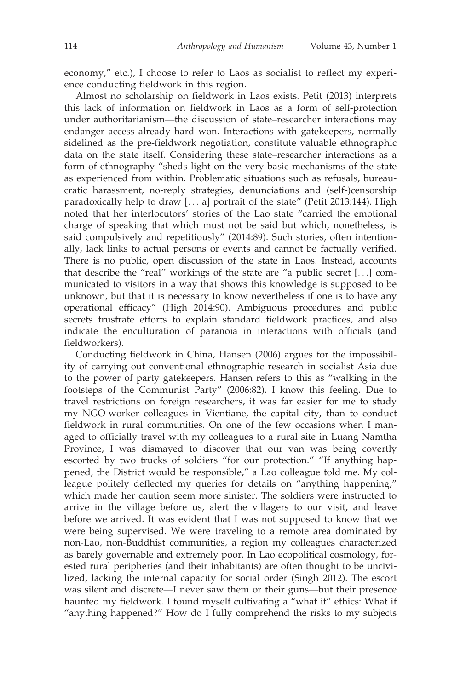economy," etc.), I choose to refer to Laos as socialist to reflect my experience conducting fieldwork in this region.

Almost no scholarship on fieldwork in Laos exists. Petit (2013) interprets this lack of information on fieldwork in Laos as a form of self-protection under authoritarianism—the discussion of state–researcher interactions may endanger access already hard won. Interactions with gatekeepers, normally sidelined as the pre-fieldwork negotiation, constitute valuable ethnographic data on the state itself. Considering these state–researcher interactions as a form of ethnography "sheds light on the very basic mechanisms of the state as experienced from within. Problematic situations such as refusals, bureaucratic harassment, no-reply strategies, denunciations and (self-)censorship paradoxically help to draw [... a] portrait of the state" (Petit 2013:144). High noted that her interlocutors' stories of the Lao state "carried the emotional charge of speaking that which must not be said but which, nonetheless, is said compulsively and repetitiously" (2014:89). Such stories, often intentionally, lack links to actual persons or events and cannot be factually verified. There is no public, open discussion of the state in Laos. Instead, accounts that describe the "real" workings of the state are "a public secret [...] communicated to visitors in a way that shows this knowledge is supposed to be unknown, but that it is necessary to know nevertheless if one is to have any operational efficacy" (High 2014:90). Ambiguous procedures and public secrets frustrate efforts to explain standard fieldwork practices, and also indicate the enculturation of paranoia in interactions with officials (and fieldworkers).

Conducting fieldwork in China, Hansen (2006) argues for the impossibility of carrying out conventional ethnographic research in socialist Asia due to the power of party gatekeepers. Hansen refers to this as "walking in the footsteps of the Communist Party" (2006:82). I know this feeling. Due to travel restrictions on foreign researchers, it was far easier for me to study my NGO-worker colleagues in Vientiane, the capital city, than to conduct fieldwork in rural communities. On one of the few occasions when I managed to officially travel with my colleagues to a rural site in Luang Namtha Province, I was dismayed to discover that our van was being covertly escorted by two trucks of soldiers "for our protection." "If anything happened, the District would be responsible," a Lao colleague told me. My colleague politely deflected my queries for details on "anything happening," which made her caution seem more sinister. The soldiers were instructed to arrive in the village before us, alert the villagers to our visit, and leave before we arrived. It was evident that I was not supposed to know that we were being supervised. We were traveling to a remote area dominated by non-Lao, non-Buddhist communities, a region my colleagues characterized as barely governable and extremely poor. In Lao ecopolitical cosmology, forested rural peripheries (and their inhabitants) are often thought to be uncivilized, lacking the internal capacity for social order (Singh 2012). The escort was silent and discrete—I never saw them or their guns—but their presence haunted my fieldwork. I found myself cultivating a "what if" ethics: What if "anything happened?" How do I fully comprehend the risks to my subjects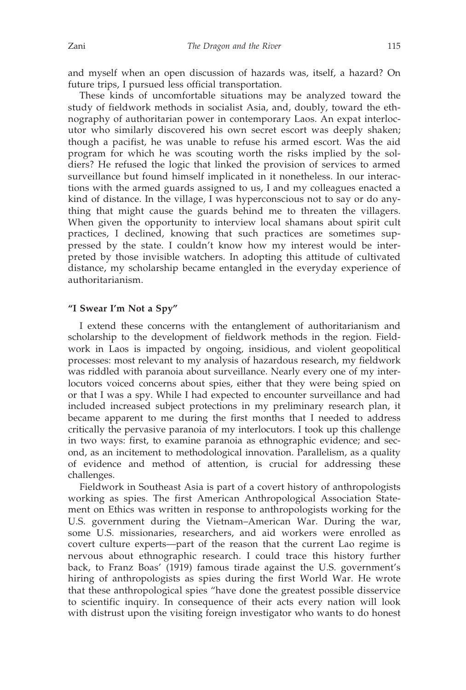and myself when an open discussion of hazards was, itself, a hazard? On future trips, I pursued less official transportation.

These kinds of uncomfortable situations may be analyzed toward the study of fieldwork methods in socialist Asia, and, doubly, toward the ethnography of authoritarian power in contemporary Laos. An expat interlocutor who similarly discovered his own secret escort was deeply shaken; though a pacifist, he was unable to refuse his armed escort. Was the aid program for which he was scouting worth the risks implied by the soldiers? He refused the logic that linked the provision of services to armed surveillance but found himself implicated in it nonetheless. In our interactions with the armed guards assigned to us, I and my colleagues enacted a kind of distance. In the village, I was hyperconscious not to say or do anything that might cause the guards behind me to threaten the villagers. When given the opportunity to interview local shamans about spirit cult practices, I declined, knowing that such practices are sometimes suppressed by the state. I couldn't know how my interest would be interpreted by those invisible watchers. In adopting this attitude of cultivated distance, my scholarship became entangled in the everyday experience of authoritarianism.

#### "I Swear I'm Not a Spy"

I extend these concerns with the entanglement of authoritarianism and scholarship to the development of fieldwork methods in the region. Fieldwork in Laos is impacted by ongoing, insidious, and violent geopolitical processes: most relevant to my analysis of hazardous research, my fieldwork was riddled with paranoia about surveillance. Nearly every one of my interlocutors voiced concerns about spies, either that they were being spied on or that I was a spy. While I had expected to encounter surveillance and had included increased subject protections in my preliminary research plan, it became apparent to me during the first months that I needed to address critically the pervasive paranoia of my interlocutors. I took up this challenge in two ways: first, to examine paranoia as ethnographic evidence; and second, as an incitement to methodological innovation. Parallelism, as a quality of evidence and method of attention, is crucial for addressing these challenges.

Fieldwork in Southeast Asia is part of a covert history of anthropologists working as spies. The first American Anthropological Association Statement on Ethics was written in response to anthropologists working for the U.S. government during the Vietnam–American War. During the war, some U.S. missionaries, researchers, and aid workers were enrolled as covert culture experts—part of the reason that the current Lao regime is nervous about ethnographic research. I could trace this history further back, to Franz Boas' (1919) famous tirade against the U.S. government's hiring of anthropologists as spies during the first World War. He wrote that these anthropological spies "have done the greatest possible disservice to scientific inquiry. In consequence of their acts every nation will look with distrust upon the visiting foreign investigator who wants to do honest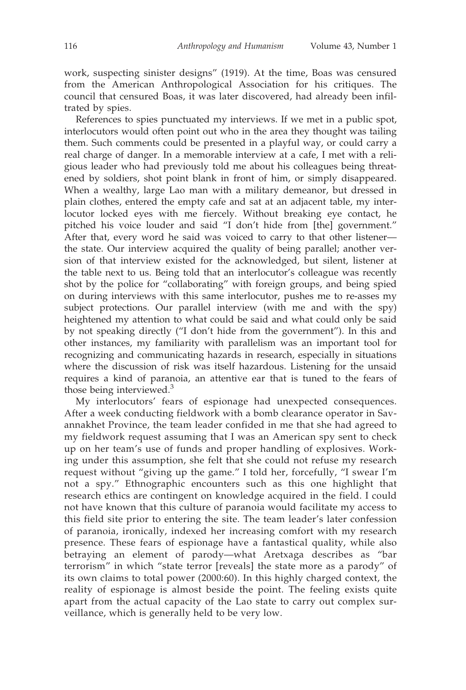work, suspecting sinister designs" (1919). At the time, Boas was censured from the American Anthropological Association for his critiques. The council that censured Boas, it was later discovered, had already been infiltrated by spies.

References to spies punctuated my interviews. If we met in a public spot, interlocutors would often point out who in the area they thought was tailing them. Such comments could be presented in a playful way, or could carry a real charge of danger. In a memorable interview at a cafe, I met with a religious leader who had previously told me about his colleagues being threatened by soldiers, shot point blank in front of him, or simply disappeared. When a wealthy, large Lao man with a military demeanor, but dressed in plain clothes, entered the empty cafe and sat at an adjacent table, my interlocutor locked eyes with me fiercely. Without breaking eye contact, he pitched his voice louder and said "I don't hide from [the] government." After that, every word he said was voiced to carry to that other listener the state. Our interview acquired the quality of being parallel; another version of that interview existed for the acknowledged, but silent, listener at the table next to us. Being told that an interlocutor's colleague was recently shot by the police for "collaborating" with foreign groups, and being spied on during interviews with this same interlocutor, pushes me to re-asses my subject protections. Our parallel interview (with me and with the spy) heightened my attention to what could be said and what could only be said by not speaking directly ("I don't hide from the government"). In this and other instances, my familiarity with parallelism was an important tool for recognizing and communicating hazards in research, especially in situations where the discussion of risk was itself hazardous. Listening for the unsaid requires a kind of paranoia, an attentive ear that is tuned to the fears of those being interviewed.<sup>3</sup>

My interlocutors' fears of espionage had unexpected consequences. After a week conducting fieldwork with a bomb clearance operator in Savannakhet Province, the team leader confided in me that she had agreed to my fieldwork request assuming that I was an American spy sent to check up on her team's use of funds and proper handling of explosives. Working under this assumption, she felt that she could not refuse my research request without "giving up the game." I told her, forcefully, "I swear I'm not a spy." Ethnographic encounters such as this one highlight that research ethics are contingent on knowledge acquired in the field. I could not have known that this culture of paranoia would facilitate my access to this field site prior to entering the site. The team leader's later confession of paranoia, ironically, indexed her increasing comfort with my research presence. These fears of espionage have a fantastical quality, while also betraying an element of parody—what Aretxaga describes as "bar terrorism" in which "state terror [reveals] the state more as a parody" of its own claims to total power (2000:60). In this highly charged context, the reality of espionage is almost beside the point. The feeling exists quite apart from the actual capacity of the Lao state to carry out complex surveillance, which is generally held to be very low.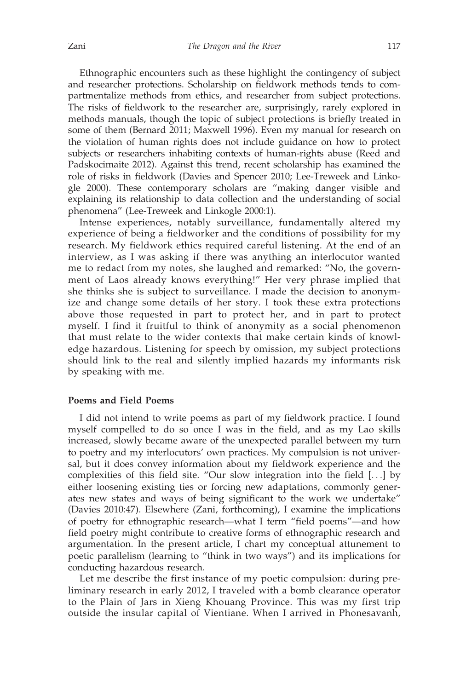Ethnographic encounters such as these highlight the contingency of subject and researcher protections. Scholarship on fieldwork methods tends to compartmentalize methods from ethics, and researcher from subject protections. The risks of fieldwork to the researcher are, surprisingly, rarely explored in methods manuals, though the topic of subject protections is briefly treated in some of them (Bernard 2011; Maxwell 1996). Even my manual for research on the violation of human rights does not include guidance on how to protect subjects or researchers inhabiting contexts of human-rights abuse (Reed and Padskocimaite 2012). Against this trend, recent scholarship has examined the role of risks in fieldwork (Davies and Spencer 2010; Lee-Treweek and Linkogle 2000). These contemporary scholars are "making danger visible and explaining its relationship to data collection and the understanding of social phenomena" (Lee-Treweek and Linkogle 2000:1).

Intense experiences, notably surveillance, fundamentally altered my experience of being a fieldworker and the conditions of possibility for my research. My fieldwork ethics required careful listening. At the end of an interview, as I was asking if there was anything an interlocutor wanted me to redact from my notes, she laughed and remarked: "No, the government of Laos already knows everything!" Her very phrase implied that she thinks she is subject to surveillance. I made the decision to anonymize and change some details of her story. I took these extra protections above those requested in part to protect her, and in part to protect myself. I find it fruitful to think of anonymity as a social phenomenon that must relate to the wider contexts that make certain kinds of knowledge hazardous. Listening for speech by omission, my subject protections should link to the real and silently implied hazards my informants risk by speaking with me.

#### Poems and Field Poems

I did not intend to write poems as part of my fieldwork practice. I found myself compelled to do so once I was in the field, and as my Lao skills increased, slowly became aware of the unexpected parallel between my turn to poetry and my interlocutors' own practices. My compulsion is not universal, but it does convey information about my fieldwork experience and the complexities of this field site. "Our slow integration into the field [...] by either loosening existing ties or forcing new adaptations, commonly generates new states and ways of being significant to the work we undertake" (Davies 2010:47). Elsewhere (Zani, forthcoming), I examine the implications of poetry for ethnographic research—what I term "field poems"—and how field poetry might contribute to creative forms of ethnographic research and argumentation. In the present article, I chart my conceptual attunement to poetic parallelism (learning to "think in two ways") and its implications for conducting hazardous research.

Let me describe the first instance of my poetic compulsion: during preliminary research in early 2012, I traveled with a bomb clearance operator to the Plain of Jars in Xieng Khouang Province. This was my first trip outside the insular capital of Vientiane. When I arrived in Phonesavanh,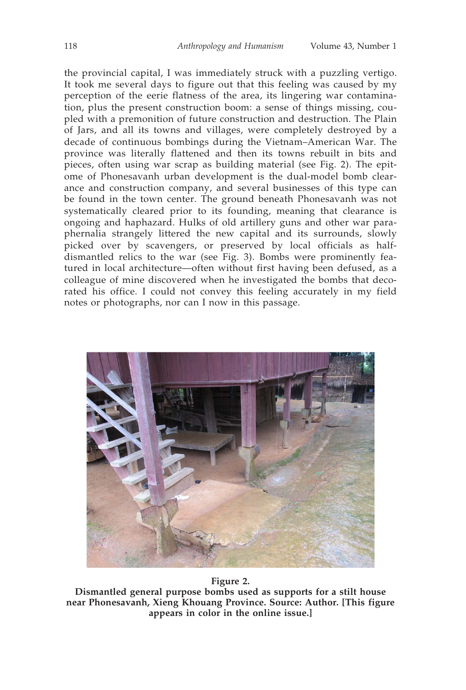the provincial capital, I was immediately struck with a puzzling vertigo. It took me several days to figure out that this feeling was caused by my perception of the eerie flatness of the area, its lingering war contamination, plus the present construction boom: a sense of things missing, coupled with a premonition of future construction and destruction. The Plain of Jars, and all its towns and villages, were completely destroyed by a decade of continuous bombings during the Vietnam–American War. The province was literally flattened and then its towns rebuilt in bits and pieces, often using war scrap as building material (see Fig. 2). The epitome of Phonesavanh urban development is the dual-model bomb clearance and construction company, and several businesses of this type can be found in the town center. The ground beneath Phonesavanh was not systematically cleared prior to its founding, meaning that clearance is ongoing and haphazard. Hulks of old artillery guns and other war paraphernalia strangely littered the new capital and its surrounds, slowly picked over by scavengers, or preserved by local officials as halfdismantled relics to the war (see Fig. 3). Bombs were prominently featured in local architecture—often without first having been defused, as a colleague of mine discovered when he investigated the bombs that decorated his office. I could not convey this feeling accurately in my field notes or photographs, nor can I now in this passage.



#### Figure 2.

Dismantled general purpose bombs used as supports for a stilt house near Phonesavanh, Xieng Khouang Province. Source: Author. [This figure appears in color in the online issue.]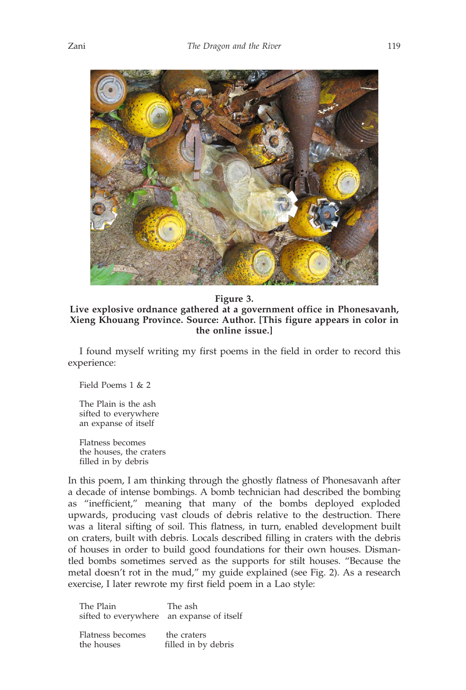

Figure 3. Live explosive ordnance gathered at a government office in Phonesavanh, Xieng Khouang Province. Source: Author. [This figure appears in color in the online issue.]

I found myself writing my first poems in the field in order to record this experience:

Field Poems 1 & 2

The Plain is the ash sifted to everywhere an expanse of itself

Flatness becomes the houses, the craters filled in by debris

In this poem, I am thinking through the ghostly flatness of Phonesavanh after a decade of intense bombings. A bomb technician had described the bombing as "inefficient," meaning that many of the bombs deployed exploded upwards, producing vast clouds of debris relative to the destruction. There was a literal sifting of soil. This flatness, in turn, enabled development built on craters, built with debris. Locals described filling in craters with the debris of houses in order to build good foundations for their own houses. Dismantled bombs sometimes served as the supports for stilt houses. "Because the metal doesn't rot in the mud," my guide explained (see Fig. 2). As a research exercise, I later rewrote my first field poem in a Lao style:

The Plain The ash sifted to everywhere an expanse of itself

Flatness becomes the craters<br>the houses filled in by filled in by debris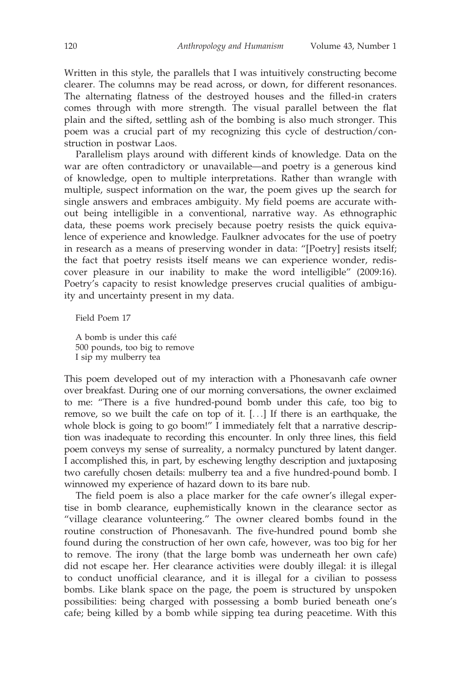Written in this style, the parallels that I was intuitively constructing become clearer. The columns may be read across, or down, for different resonances. The alternating flatness of the destroyed houses and the filled-in craters comes through with more strength. The visual parallel between the flat plain and the sifted, settling ash of the bombing is also much stronger. This poem was a crucial part of my recognizing this cycle of destruction/construction in postwar Laos.

Parallelism plays around with different kinds of knowledge. Data on the war are often contradictory or unavailable—and poetry is a generous kind of knowledge, open to multiple interpretations. Rather than wrangle with multiple, suspect information on the war, the poem gives up the search for single answers and embraces ambiguity. My field poems are accurate without being intelligible in a conventional, narrative way. As ethnographic data, these poems work precisely because poetry resists the quick equivalence of experience and knowledge. Faulkner advocates for the use of poetry in research as a means of preserving wonder in data: "[Poetry] resists itself; the fact that poetry resists itself means we can experience wonder, rediscover pleasure in our inability to make the word intelligible" (2009:16). Poetry's capacity to resist knowledge preserves crucial qualities of ambiguity and uncertainty present in my data.

Field Poem 17

A bomb is under this café 500 pounds, too big to remove I sip my mulberry tea

This poem developed out of my interaction with a Phonesavanh cafe owner over breakfast. During one of our morning conversations, the owner exclaimed to me: "There is a five hundred-pound bomb under this cafe, too big to remove, so we built the cafe on top of it. [...] If there is an earthquake, the whole block is going to go boom!" I immediately felt that a narrative description was inadequate to recording this encounter. In only three lines, this field poem conveys my sense of surreality, a normalcy punctured by latent danger. I accomplished this, in part, by eschewing lengthy description and juxtaposing two carefully chosen details: mulberry tea and a five hundred-pound bomb. I winnowed my experience of hazard down to its bare nub.

The field poem is also a place marker for the cafe owner's illegal expertise in bomb clearance, euphemistically known in the clearance sector as "village clearance volunteering." The owner cleared bombs found in the routine construction of Phonesavanh. The five-hundred pound bomb she found during the construction of her own cafe, however, was too big for her to remove. The irony (that the large bomb was underneath her own cafe) did not escape her. Her clearance activities were doubly illegal: it is illegal to conduct unofficial clearance, and it is illegal for a civilian to possess bombs. Like blank space on the page, the poem is structured by unspoken possibilities: being charged with possessing a bomb buried beneath one's cafe; being killed by a bomb while sipping tea during peacetime. With this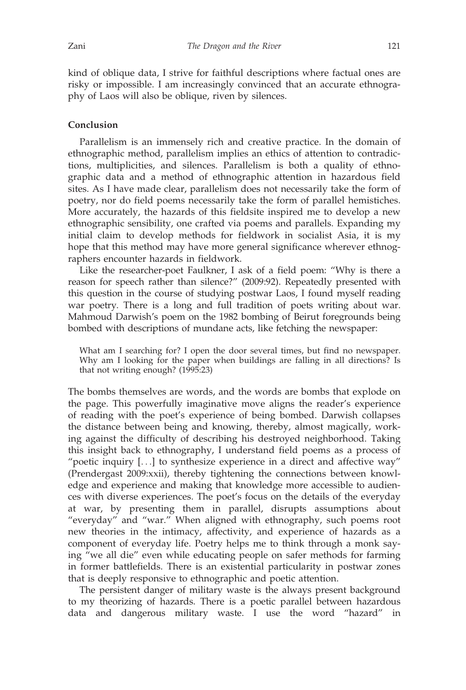kind of oblique data, I strive for faithful descriptions where factual ones are risky or impossible. I am increasingly convinced that an accurate ethnography of Laos will also be oblique, riven by silences.

## Conclusion

Parallelism is an immensely rich and creative practice. In the domain of ethnographic method, parallelism implies an ethics of attention to contradictions, multiplicities, and silences. Parallelism is both a quality of ethnographic data and a method of ethnographic attention in hazardous field sites. As I have made clear, parallelism does not necessarily take the form of poetry, nor do field poems necessarily take the form of parallel hemistiches. More accurately, the hazards of this fieldsite inspired me to develop a new ethnographic sensibility, one crafted via poems and parallels. Expanding my initial claim to develop methods for fieldwork in socialist Asia, it is my hope that this method may have more general significance wherever ethnographers encounter hazards in fieldwork.

Like the researcher-poet Faulkner, I ask of a field poem: "Why is there a reason for speech rather than silence?" (2009:92). Repeatedly presented with this question in the course of studying postwar Laos, I found myself reading war poetry. There is a long and full tradition of poets writing about war. Mahmoud Darwish's poem on the 1982 bombing of Beirut foregrounds being bombed with descriptions of mundane acts, like fetching the newspaper:

What am I searching for? I open the door several times, but find no newspaper. Why am I looking for the paper when buildings are falling in all directions? Is that not writing enough? (1995:23)

The bombs themselves are words, and the words are bombs that explode on the page. This powerfully imaginative move aligns the reader's experience of reading with the poet's experience of being bombed. Darwish collapses the distance between being and knowing, thereby, almost magically, working against the difficulty of describing his destroyed neighborhood. Taking this insight back to ethnography, I understand field poems as a process of "poetic inquiry [...] to synthesize experience in a direct and affective way" (Prendergast 2009:xxii), thereby tightening the connections between knowledge and experience and making that knowledge more accessible to audiences with diverse experiences. The poet's focus on the details of the everyday at war, by presenting them in parallel, disrupts assumptions about "everyday" and "war." When aligned with ethnography, such poems root new theories in the intimacy, affectivity, and experience of hazards as a component of everyday life. Poetry helps me to think through a monk saying "we all die" even while educating people on safer methods for farming in former battlefields. There is an existential particularity in postwar zones that is deeply responsive to ethnographic and poetic attention.

The persistent danger of military waste is the always present background to my theorizing of hazards. There is a poetic parallel between hazardous data and dangerous military waste. I use the word "hazard" in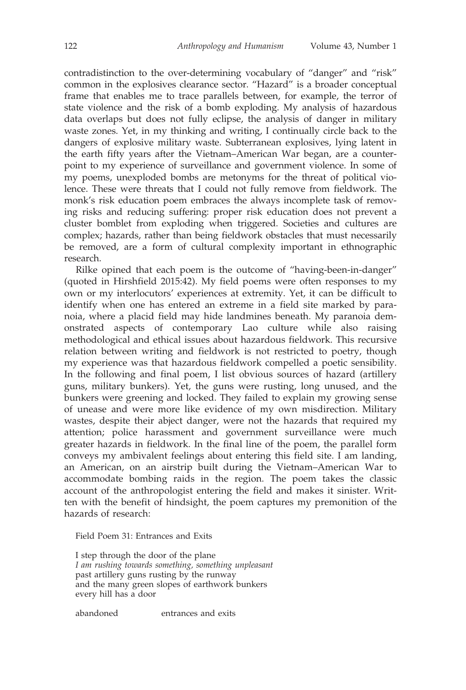contradistinction to the over-determining vocabulary of "danger" and "risk" common in the explosives clearance sector. "Hazard" is a broader conceptual frame that enables me to trace parallels between, for example, the terror of state violence and the risk of a bomb exploding. My analysis of hazardous data overlaps but does not fully eclipse, the analysis of danger in military waste zones. Yet, in my thinking and writing, I continually circle back to the dangers of explosive military waste. Subterranean explosives, lying latent in the earth fifty years after the Vietnam–American War began, are a counterpoint to my experience of surveillance and government violence. In some of my poems, unexploded bombs are metonyms for the threat of political violence. These were threats that I could not fully remove from fieldwork. The monk's risk education poem embraces the always incomplete task of removing risks and reducing suffering: proper risk education does not prevent a cluster bomblet from exploding when triggered. Societies and cultures are complex; hazards, rather than being fieldwork obstacles that must necessarily be removed, are a form of cultural complexity important in ethnographic research.

Rilke opined that each poem is the outcome of "having-been-in-danger" (quoted in Hirshfield 2015:42). My field poems were often responses to my own or my interlocutors' experiences at extremity. Yet, it can be difficult to identify when one has entered an extreme in a field site marked by paranoia, where a placid field may hide landmines beneath. My paranoia demonstrated aspects of contemporary Lao culture while also raising methodological and ethical issues about hazardous fieldwork. This recursive relation between writing and fieldwork is not restricted to poetry, though my experience was that hazardous fieldwork compelled a poetic sensibility. In the following and final poem, I list obvious sources of hazard (artillery guns, military bunkers). Yet, the guns were rusting, long unused, and the bunkers were greening and locked. They failed to explain my growing sense of unease and were more like evidence of my own misdirection. Military wastes, despite their abject danger, were not the hazards that required my attention; police harassment and government surveillance were much greater hazards in fieldwork. In the final line of the poem, the parallel form conveys my ambivalent feelings about entering this field site. I am landing, an American, on an airstrip built during the Vietnam–American War to accommodate bombing raids in the region. The poem takes the classic account of the anthropologist entering the field and makes it sinister. Written with the benefit of hindsight, the poem captures my premonition of the hazards of research:

Field Poem 31: Entrances and Exits

I step through the door of the plane I am rushing towards something, something unpleasant past artillery guns rusting by the runway and the many green slopes of earthwork bunkers every hill has a door

abandoned entrances and exits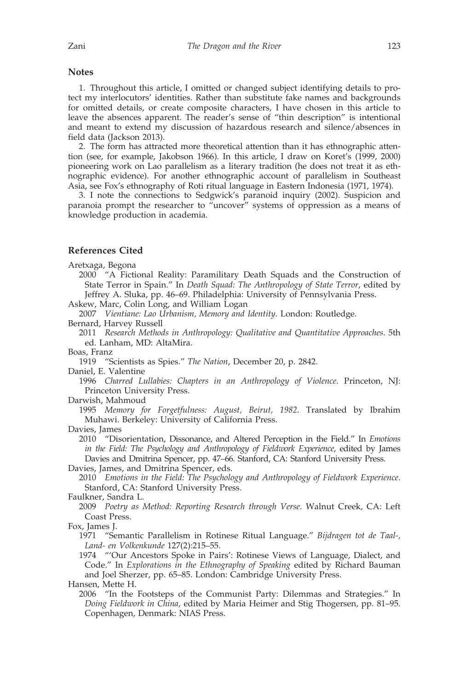#### **Notes**

1. Throughout this article, I omitted or changed subject identifying details to protect my interlocutors' identities. Rather than substitute fake names and backgrounds for omitted details, or create composite characters, I have chosen in this article to leave the absences apparent. The reader's sense of "thin description" is intentional and meant to extend my discussion of hazardous research and silence/absences in field data (Jackson 2013).

2. The form has attracted more theoretical attention than it has ethnographic attention (see, for example, Jakobson 1966). In this article, I draw on Koret's (1999, 2000) pioneering work on Lao parallelism as a literary tradition (he does not treat it as ethnographic evidence). For another ethnographic account of parallelism in Southeast Asia, see Fox's ethnography of Roti ritual language in Eastern Indonesia (1971, 1974).

3. I note the connections to Sedgwick's paranoid inquiry (2002). Suspicion and paranoia prompt the researcher to "uncover" systems of oppression as a means of knowledge production in academia.

#### References Cited

Aretxaga, Begona

2000 "A Fictional Reality: Paramilitary Death Squads and the Construction of State Terror in Spain." In Death Squad: The Anthropology of State Terror, edited by Jeffrey A. Sluka, pp. 46–69. Philadelphia: University of Pennsylvania Press.

Askew, Marc, Colin Long, and William Logan

2007 Vientiane: Lao Urbanism, Memory and Identity. London: Routledge.

Bernard, Harvey Russell

2011 Research Methods in Anthropology: Qualitative and Quantitative Approaches. 5th ed. Lanham, MD: AltaMira.

Boas, Franz

1919 "Scientists as Spies." The Nation, December 20, p. 2842.

Daniel, E. Valentine

1996 Charred Lullabies: Chapters in an Anthropology of Violence. Princeton, NJ: Princeton University Press.

Darwish, Mahmoud

1995 Memory for Forgetfulness: August, Beirut, 1982. Translated by Ibrahim Muhawi. Berkeley: University of California Press.

Davies, James

2010 "Disorientation, Dissonance, and Altered Perception in the Field." In Emotions in the Field: The Psychology and Anthropology of Fieldwork Experience, edited by James Davies and Dmitrina Spencer, pp. 47–66. Stanford, CA: Stanford University Press.

Davies, James, and Dmitrina Spencer, eds.

2010 Emotions in the Field: The Psychology and Anthropology of Fieldwork Experience. Stanford, CA: Stanford University Press.

Faulkner, Sandra L.

2009 Poetry as Method: Reporting Research through Verse. Walnut Creek, CA: Left Coast Press.

Fox, James J.

1971 "Semantic Parallelism in Rotinese Ritual Language." Bijdragen tot de Taal-, Land- en Volkenkunde 127(2):215–55.

1974 "'Our Ancestors Spoke in Pairs': Rotinese Views of Language, Dialect, and Code." In Explorations in the Ethnography of Speaking edited by Richard Bauman and Joel Sherzer, pp. 65–85. London: Cambridge University Press.

Hansen, Mette H.

2006 "In the Footsteps of the Communist Party: Dilemmas and Strategies." In Doing Fieldwork in China, edited by Maria Heimer and Stig Thogersen, pp. 81-95. Copenhagen, Denmark: NIAS Press.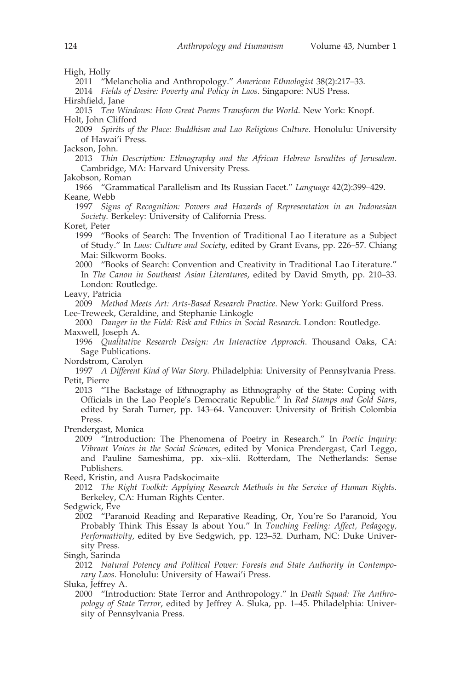High, Holly

2011 "Melancholia and Anthropology." American Ethnologist 38(2):217–33.

2014 Fields of Desire: Poverty and Policy in Laos. Singapore: NUS Press. Hirshfield, Jane

2015 Ten Windows: How Great Poems Transform the World. New York: Knopf. Holt, John Clifford

2009 Spirits of the Place: Buddhism and Lao Religious Culture. Honolulu: University of Hawai'i Press.

Jackson, John.

2013 Thin Description: Ethnography and the African Hebrew Isrealites of Jerusalem. Cambridge, MA: Harvard University Press.

Jakobson, Roman

1966 "Grammatical Parallelism and Its Russian Facet." Language 42(2):399–429. Keane, Webb

1997 Signs of Recognition: Powers and Hazards of Representation in an Indonesian Society. Berkeley: University of California Press.

Koret, Peter

1999 "Books of Search: The Invention of Traditional Lao Literature as a Subject of Study." In Laos: Culture and Society, edited by Grant Evans, pp. 226–57. Chiang Mai: Silkworm Books.

2000 "Books of Search: Convention and Creativity in Traditional Lao Literature." In The Canon in Southeast Asian Literatures, edited by David Smyth, pp. 210–33. London: Routledge.

Leavy, Patricia

2009 Method Meets Art: Arts-Based Research Practice. New York: Guilford Press. Lee-Treweek, Geraldine, and Stephanie Linkogle

2000 Danger in the Field: Risk and Ethics in Social Research. London: Routledge. Maxwell, Joseph A.

1996 Qualitative Research Design: An Interactive Approach. Thousand Oaks, CA: Sage Publications.

Nordstrom, Carolyn

1997 A Different Kind of War Story. Philadelphia: University of Pennsylvania Press. Petit, Pierre

2013 "The Backstage of Ethnography as Ethnography of the State: Coping with Officials in the Lao People's Democratic Republic." In Red Stamps and Gold Stars, edited by Sarah Turner, pp. 143–64. Vancouver: University of British Colombia Press.

Prendergast, Monica

2009 "Introduction: The Phenomena of Poetry in Research." In Poetic Inquiry: Vibrant Voices in the Social Sciences, edited by Monica Prendergast, Carl Leggo, and Pauline Sameshima, pp. xix–xlii. Rotterdam, The Netherlands: Sense Publishers.

Reed, Kristin, and Ausra Padskocimaite

2012 The Right Toolkit: Applying Research Methods in the Service of Human Rights. Berkeley, CA: Human Rights Center.

Sedgwick, Eve

2002 "Paranoid Reading and Reparative Reading, Or, You're So Paranoid, You Probably Think This Essay Is about You." In Touching Feeling: Affect, Pedagogy, Performativity, edited by Eve Sedgwich, pp. 123–52. Durham, NC: Duke University Press.

Singh, Sarinda

2012 Natural Potency and Political Power: Forests and State Authority in Contemporary Laos. Honolulu: University of Hawai'i Press.

Sluka, Jeffrey A.

2000 "Introduction: State Terror and Anthropology." In Death Squad: The Anthropology of State Terror, edited by Jeffrey A. Sluka, pp. 1–45. Philadelphia: University of Pennsylvania Press.